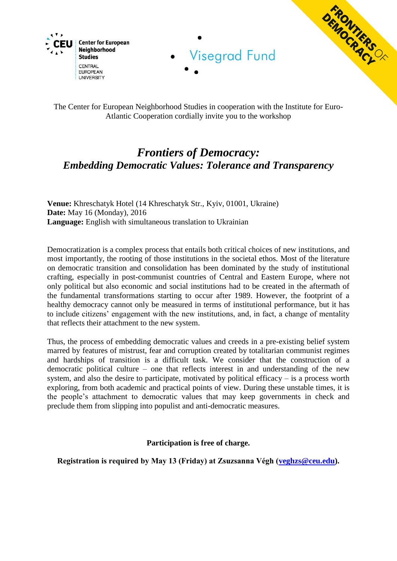

The Center for European Neighborhood Studies in cooperation with the Institute for Euro-Atlantic Cooperation cordially invite you to the workshop

# *Frontiers of Democracy: Embedding Democratic Values: Tolerance and Transparency*

**Venue:** Khreschatyk Hotel (14 Khreschatyk Str., Kyiv, 01001, Ukraine) **Date:** May 16 (Monday), 2016 **Language:** English with simultaneous translation to Ukrainian

Democratization is a complex process that entails both critical choices of new institutions, and most importantly, the rooting of those institutions in the societal ethos. Most of the literature on democratic transition and consolidation has been dominated by the study of institutional crafting, especially in post-communist countries of Central and Eastern Europe, where not only political but also economic and social institutions had to be created in the aftermath of the fundamental transformations starting to occur after 1989. However, the footprint of a healthy democracy cannot only be measured in terms of institutional performance, but it has to include citizens' engagement with the new institutions, and, in fact, a change of mentality that reflects their attachment to the new system.

Thus, the process of embedding democratic values and creeds in a pre-existing belief system marred by features of mistrust, fear and corruption created by totalitarian communist regimes and hardships of transition is a difficult task. We consider that the construction of a democratic political culture – one that reflects interest in and understanding of the new system, and also the desire to participate, motivated by political efficacy  $-$  is a process worth exploring, from both academic and practical points of view. During these unstable times, it is the people's attachment to democratic values that may keep governments in check and preclude them from slipping into populist and anti-democratic measures.

**Participation is free of charge.**

**Registration is required by May 13 (Friday) at Zsuzsanna Végh [\(veghzs@ceu.edu\)](mailto:veghzs@ceu.edu).**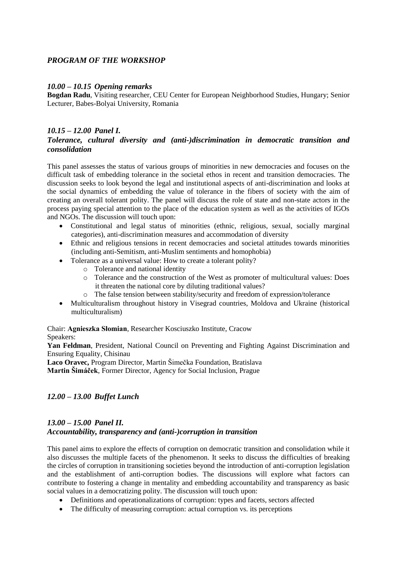## *PROGRAM OF THE WORKSHOP*

#### *10.00 – 10.15 Opening remarks*

**Bogdan Radu**, Visiting researcher, CEU Center for European Neighborhood Studies, Hungary; Senior Lecturer, Babes-Bolyai University, Romania

## *10.15 – 12.00 Panel I. Tolerance, cultural diversity and (anti-)discrimination in democratic transition and consolidation*

This panel assesses the status of various groups of minorities in new democracies and focuses on the difficult task of embedding tolerance in the societal ethos in recent and transition democracies. The discussion seeks to look beyond the legal and institutional aspects of anti-discrimination and looks at the social dynamics of embedding the value of tolerance in the fibers of society with the aim of creating an overall tolerant polity. The panel will discuss the role of state and non-state actors in the process paying special attention to the place of the education system as well as the activities of IGOs and NGOs. The discussion will touch upon:

- Constitutional and legal status of minorities (ethnic, religious, sexual, socially marginal categories), anti-discrimination measures and accommodation of diversity
- Ethnic and religious tensions in recent democracies and societal attitudes towards minorities (including anti-Semitism, anti-Muslim sentiments and homophobia)
- Tolerance as a universal value: How to create a tolerant polity?
	- o Tolerance and national identity
	- o Tolerance and the construction of the West as promoter of multicultural values: Does it threaten the national core by diluting traditional values?
	- o The false tension between stability/security and freedom of expression/tolerance
- Multiculturalism throughout history in Visegrad countries, Moldova and Ukraine (historical multiculturalism)

Chair: **Agnieszka Słomian**, Researcher Kosciuszko Institute, Cracow Speakers:

**Yan Feldman**, President, National Council on Preventing and Fighting Against Discrimination and Ensuring Equality, Chisinau

**Laco Oravec,** Program Director, Martin Šimečka Foundation, Bratislava

**Martin Šimáček**, Former Director, Agency for Social Inclusion, Prague

#### *12.00 – 13.00 Buffet Lunch*

## *13.00 – 15.00 Panel II. Accountability, transparency and (anti-)corruption in transition*

This panel aims to explore the effects of corruption on democratic transition and consolidation while it also discusses the multiple facets of the phenomenon. It seeks to discuss the difficulties of breaking the circles of corruption in transitioning societies beyond the introduction of anti-corruption legislation and the establishment of anti-corruption bodies. The discussions will explore what factors can contribute to fostering a change in mentality and embedding accountability and transparency as basic social values in a democratizing polity. The discussion will touch upon:

- Definitions and operationalizations of corruption: types and facets, sectors affected
- The difficulty of measuring corruption: actual corruption vs. its perceptions